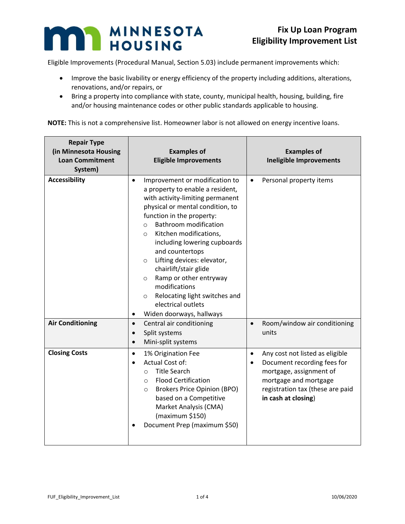## MINNESOTA HOUSING

T

Eligible Improvements (Procedural Manual, Section 5.03) include permanent improvements which:

- Improve the basic livability or energy efficiency of the property including additions, alterations, renovations, and/or repairs, or
- Bring a property into compliance with state, county, municipal health, housing, building, fire and/or housing maintenance codes or other public standards applicable to housing.

| <b>Repair Type</b><br>(in Minnesota Housing<br><b>Loan Commitment</b><br>System) | <b>Examples of</b><br><b>Eligible Improvements</b>                                                                                                                                                                                                                                                                                                                                                                                                                                                                                                         | <b>Examples of</b><br><b>Ineligible Improvements</b>                                                                                                                                                    |
|----------------------------------------------------------------------------------|------------------------------------------------------------------------------------------------------------------------------------------------------------------------------------------------------------------------------------------------------------------------------------------------------------------------------------------------------------------------------------------------------------------------------------------------------------------------------------------------------------------------------------------------------------|---------------------------------------------------------------------------------------------------------------------------------------------------------------------------------------------------------|
| <b>Accessibility</b>                                                             | Improvement or modification to<br>$\bullet$<br>a property to enable a resident,<br>with activity-limiting permanent<br>physical or mental condition, to<br>function in the property:<br><b>Bathroom modification</b><br>$\circ$<br>Kitchen modifications,<br>$\circ$<br>including lowering cupboards<br>and countertops<br>Lifting devices: elevator,<br>$\circ$<br>chairlift/stair glide<br>Ramp or other entryway<br>$\circ$<br>modifications<br>Relocating light switches and<br>$\circ$<br>electrical outlets<br>Widen doorways, hallways<br>$\bullet$ | Personal property items<br>$\bullet$                                                                                                                                                                    |
| <b>Air Conditioning</b>                                                          | Central air conditioning<br>$\bullet$<br>Split systems<br>$\bullet$<br>Mini-split systems<br>$\bullet$                                                                                                                                                                                                                                                                                                                                                                                                                                                     | Room/window air conditioning<br>$\bullet$<br>units                                                                                                                                                      |
| <b>Closing Costs</b>                                                             | 1% Origination Fee<br>$\bullet$<br>Actual Cost of:<br>$\bullet$<br><b>Title Search</b><br>$\circ$<br><b>Flood Certification</b><br>$\circ$<br><b>Brokers Price Opinion (BPO)</b><br>$\circ$<br>based on a Competitive<br>Market Analysis (CMA)<br>(maximum \$150)<br>Document Prep (maximum \$50)                                                                                                                                                                                                                                                          | Any cost not listed as eligible<br>$\bullet$<br>Document recording fees for<br>$\bullet$<br>mortgage, assignment of<br>mortgage and mortgage<br>registration tax (these are paid<br>in cash at closing) |

**NOTE:** This is not a comprehensive list. Homeowner labor is not allowed on energy incentive loans.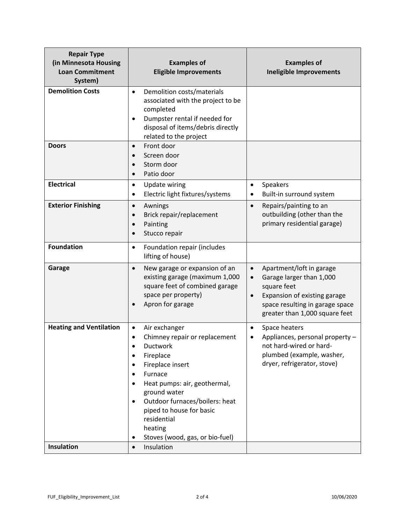| <b>Repair Type</b><br>(in Minnesota Housing<br><b>Loan Commitment</b><br>System) | <b>Examples of</b><br><b>Eligible Improvements</b>                                                                                                                                                                                                                                                                                                                   | <b>Examples of</b><br><b>Ineligible Improvements</b>                                                                                                                                                            |
|----------------------------------------------------------------------------------|----------------------------------------------------------------------------------------------------------------------------------------------------------------------------------------------------------------------------------------------------------------------------------------------------------------------------------------------------------------------|-----------------------------------------------------------------------------------------------------------------------------------------------------------------------------------------------------------------|
| <b>Demolition Costs</b>                                                          | Demolition costs/materials<br>$\bullet$<br>associated with the project to be<br>completed<br>Dumpster rental if needed for<br>$\bullet$<br>disposal of items/debris directly<br>related to the project                                                                                                                                                               |                                                                                                                                                                                                                 |
| <b>Doors</b>                                                                     | Front door<br>$\bullet$<br>Screen door<br>Storm door<br>Patio door<br>$\bullet$                                                                                                                                                                                                                                                                                      |                                                                                                                                                                                                                 |
| <b>Electrical</b>                                                                | <b>Update wiring</b><br>$\bullet$<br>Electric light fixtures/systems<br>$\bullet$                                                                                                                                                                                                                                                                                    | Speakers<br>$\bullet$<br>Built-in surround system<br>٠                                                                                                                                                          |
| <b>Exterior Finishing</b>                                                        | Awnings<br>$\bullet$<br>Brick repair/replacement<br>$\bullet$<br>Painting<br>$\bullet$<br>Stucco repair<br>$\bullet$                                                                                                                                                                                                                                                 | Repairs/painting to an<br>$\bullet$<br>outbuilding (other than the<br>primary residential garage)                                                                                                               |
| <b>Foundation</b>                                                                | Foundation repair (includes<br>$\bullet$<br>lifting of house)                                                                                                                                                                                                                                                                                                        |                                                                                                                                                                                                                 |
| Garage                                                                           | New garage or expansion of an<br>$\bullet$<br>existing garage (maximum 1,000<br>square feet of combined garage<br>space per property)<br>Apron for garage<br>$\bullet$                                                                                                                                                                                               | Apartment/loft in garage<br>$\bullet$<br>Garage larger than 1,000<br>$\bullet$<br>square feet<br>Expansion of existing garage<br>$\bullet$<br>space resulting in garage space<br>greater than 1,000 square feet |
| <b>Heating and Ventilation</b>                                                   | Air exchanger<br>$\bullet$<br>Chimney repair or replacement<br>$\bullet$<br>Ductwork<br>Fireplace<br>$\bullet$<br>Fireplace insert<br>$\bullet$<br>Furnace<br>Heat pumps: air, geothermal,<br>$\bullet$<br>ground water<br>Outdoor furnaces/boilers: heat<br>$\bullet$<br>piped to house for basic<br>residential<br>heating<br>Stoves (wood, gas, or bio-fuel)<br>٠ | Space heaters<br>$\bullet$<br>Appliances, personal property -<br>not hard-wired or hard-<br>plumbed (example, washer,<br>dryer, refrigerator, stove)                                                            |
| Insulation                                                                       | Insulation<br>$\bullet$                                                                                                                                                                                                                                                                                                                                              |                                                                                                                                                                                                                 |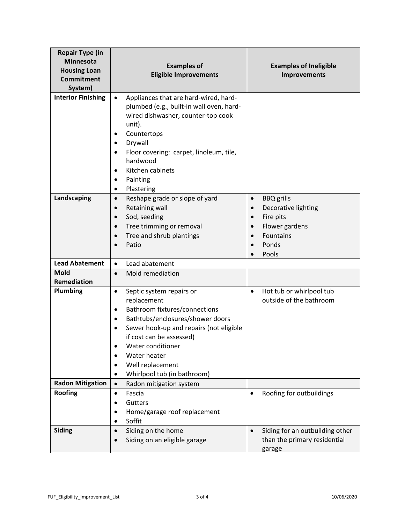| <b>Repair Type (in</b><br><b>Minnesota</b><br><b>Housing Loan</b><br><b>Commitment</b><br>System) | <b>Examples of</b><br><b>Eligible Improvements</b>                                                                                                                                                                                                                                                                                                  | <b>Examples of Ineligible</b><br><b>Improvements</b>                                                                                    |
|---------------------------------------------------------------------------------------------------|-----------------------------------------------------------------------------------------------------------------------------------------------------------------------------------------------------------------------------------------------------------------------------------------------------------------------------------------------------|-----------------------------------------------------------------------------------------------------------------------------------------|
| <b>Interior Finishing</b>                                                                         | Appliances that are hard-wired, hard-<br>$\bullet$<br>plumbed (e.g., built-in wall oven, hard-<br>wired dishwasher, counter-top cook<br>unit).<br>Countertops<br>٠<br>Drywall<br>$\bullet$<br>Floor covering: carpet, linoleum, tile,<br>$\bullet$<br>hardwood<br>Kitchen cabinets<br>$\bullet$<br>Painting<br>$\bullet$<br>Plastering<br>$\bullet$ |                                                                                                                                         |
| Landscaping                                                                                       | Reshape grade or slope of yard<br>$\bullet$<br>Retaining wall<br>$\bullet$<br>Sod, seeding<br>$\bullet$<br>Tree trimming or removal<br>$\bullet$<br>Tree and shrub plantings<br>$\bullet$<br>Patio<br>$\bullet$                                                                                                                                     | <b>BBQ</b> grills<br>$\bullet$<br>Decorative lighting<br>$\bullet$<br>Fire pits<br>Flower gardens<br><b>Fountains</b><br>Ponds<br>Pools |
| <b>Lead Abatement</b>                                                                             | Lead abatement<br>$\bullet$                                                                                                                                                                                                                                                                                                                         |                                                                                                                                         |
| <b>Mold</b><br>Remediation                                                                        | Mold remediation<br>$\bullet$                                                                                                                                                                                                                                                                                                                       |                                                                                                                                         |
| <b>Plumbing</b>                                                                                   | Septic system repairs or<br>$\bullet$<br>replacement<br>Bathroom fixtures/connections<br>$\bullet$<br>Bathtubs/enclosures/shower doors<br>$\bullet$<br>Sewer hook-up and repairs (not eligible<br>$\bullet$<br>if cost can be assessed)<br>Water conditioner<br>Water heater<br>Well replacement<br>Whirlpool tub (in bathroom)                     | Hot tub or whirlpool tub<br>$\bullet$<br>outside of the bathroom                                                                        |
| <b>Radon Mitigation</b>                                                                           | Radon mitigation system<br>$\bullet$                                                                                                                                                                                                                                                                                                                |                                                                                                                                         |
| <b>Roofing</b>                                                                                    | Fascia<br>$\bullet$<br>Gutters<br>Home/garage roof replacement<br>٠<br>Soffit                                                                                                                                                                                                                                                                       | Roofing for outbuildings<br>$\bullet$                                                                                                   |
| <b>Siding</b>                                                                                     | Siding on the home<br>$\bullet$<br>Siding on an eligible garage                                                                                                                                                                                                                                                                                     | Siding for an outbuilding other<br>$\bullet$<br>than the primary residential<br>garage                                                  |